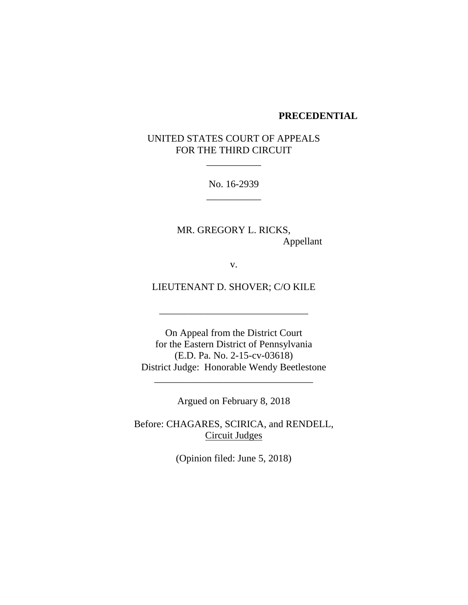#### **PRECEDENTIAL**

# UNITED STATES COURT OF APPEALS FOR THE THIRD CIRCUIT

No. 16-2939 \_\_\_\_\_\_\_\_\_\_\_

 $\mathcal{L}=\mathcal{L}$  , we have the set of the set of the set of the set of the set of the set of the set of the set of the set of the set of the set of the set of the set of the set of the set of the set of the set of the set o

MR. GREGORY L. RICKS, Appellant

v.

LIEUTENANT D. SHOVER; C/O KILE

\_\_\_\_\_\_\_\_\_\_\_\_\_\_\_\_\_\_\_\_\_\_\_\_\_\_\_\_\_\_

On Appeal from the District Court for the Eastern District of Pennsylvania (E.D. Pa. No. 2-15-cv-03618) District Judge: Honorable Wendy Beetlestone

Argued on February 8, 2018

\_\_\_\_\_\_\_\_\_\_\_\_\_\_\_\_\_\_\_\_\_\_\_\_\_\_\_\_\_\_\_\_

Before: CHAGARES, SCIRICA, and RENDELL, Circuit Judges

(Opinion filed: June 5, 2018)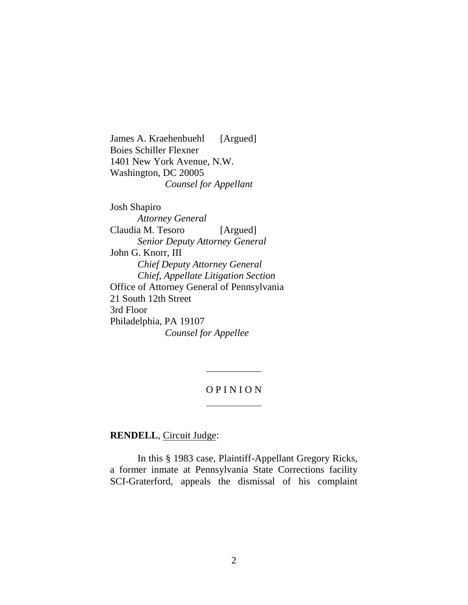James A. Kraehenbuehl [Argued] Boies Schiller Flexner 1401 New York Avenue, N.W. Washington, DC 20005 *Counsel for Appellant*

Josh Shapiro *Attorney General* Claudia M. Tesoro [Argued] *Senior Deputy Attorney General* John G. Knorr, III *Chief Deputy Attorney General Chief, Appellate Litigation Section* Office of Attorney General of Pennsylvania 21 South 12th Street 3rd Floor Philadelphia, PA 19107 *Counsel for Appellee*

# O P I N I O N

**RENDELL**, Circuit Judge:

In this § 1983 case, Plaintiff-Appellant Gregory Ricks, a former inmate at Pennsylvania State Corrections facility SCI-Graterford, appeals the dismissal of his complaint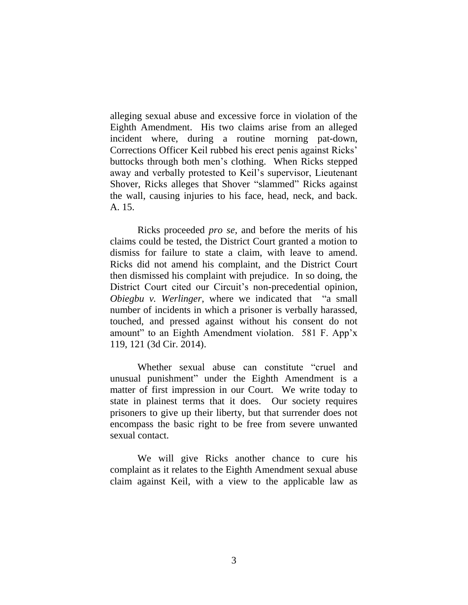alleging sexual abuse and excessive force in violation of the Eighth Amendment. His two claims arise from an alleged incident where, during a routine morning pat-down, Corrections Officer Keil rubbed his erect penis against Ricks' buttocks through both men's clothing. When Ricks stepped away and verbally protested to Keil's supervisor, Lieutenant Shover, Ricks alleges that Shover "slammed" Ricks against the wall, causing injuries to his face, head, neck, and back. A. 15.

Ricks proceeded *pro se*, and before the merits of his claims could be tested, the District Court granted a motion to dismiss for failure to state a claim, with leave to amend. Ricks did not amend his complaint, and the District Court then dismissed his complaint with prejudice. In so doing, the District Court cited our Circuit's non-precedential opinion, *Obiegbu v. Werlinger*, where we indicated that "a small number of incidents in which a prisoner is verbally harassed, touched, and pressed against without his consent do not amount" to an Eighth Amendment violation. 581 F. App'x 119, 121 (3d Cir. 2014).

Whether sexual abuse can constitute "cruel and unusual punishment" under the Eighth Amendment is a matter of first impression in our Court. We write today to state in plainest terms that it does. Our society requires prisoners to give up their liberty, but that surrender does not encompass the basic right to be free from severe unwanted sexual contact.

We will give Ricks another chance to cure his complaint as it relates to the Eighth Amendment sexual abuse claim against Keil, with a view to the applicable law as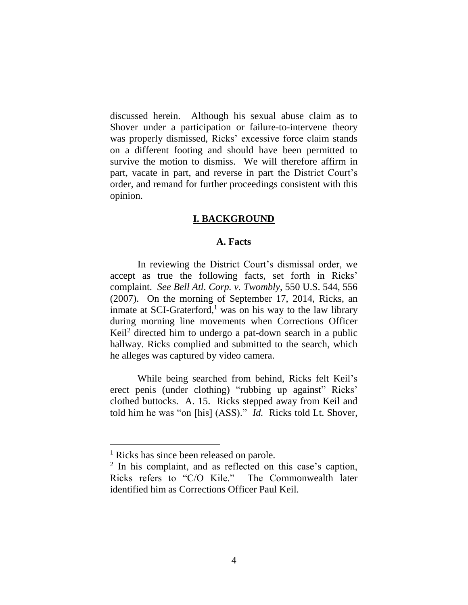discussed herein. Although his sexual abuse claim as to Shover under a participation or failure-to-intervene theory was properly dismissed, Ricks' excessive force claim stands on a different footing and should have been permitted to survive the motion to dismiss. We will therefore affirm in part, vacate in part, and reverse in part the District Court's order, and remand for further proceedings consistent with this opinion.

#### **I. BACKGROUND**

# **A. Facts**

In reviewing the District Court's dismissal order, we accept as true the following facts, set forth in Ricks' complaint. *See Bell Atl. Corp. v. Twombly*, 550 U.S. 544, 556 (2007). On the morning of September 17, 2014, Ricks, an inmate at SCI-Graterford, $<sup>1</sup>$  was on his way to the law library</sup> during morning line movements when Corrections Officer Keil<sup>2</sup> directed him to undergo a pat-down search in a public hallway. Ricks complied and submitted to the search, which he alleges was captured by video camera.

While being searched from behind, Ricks felt Keil's erect penis (under clothing) "rubbing up against" Ricks' clothed buttocks. A. 15. Ricks stepped away from Keil and told him he was "on [his] (ASS)." *Id.* Ricks told Lt. Shover,

 $\overline{a}$ 

<sup>&</sup>lt;sup>1</sup> Ricks has since been released on parole.

<sup>&</sup>lt;sup>2</sup> In his complaint, and as reflected on this case's caption, Ricks refers to "C/O Kile." The Commonwealth later identified him as Corrections Officer Paul Keil.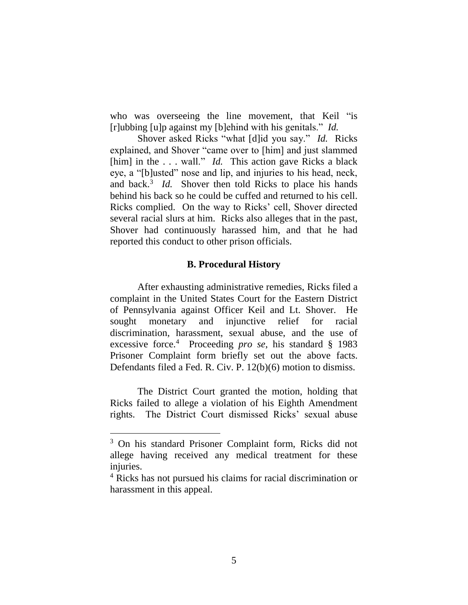who was overseeing the line movement, that Keil "is [r]ubbing [u]p against my [b]ehind with his genitals." *Id.*

Shover asked Ricks "what [d]id you say." *Id.* Ricks explained, and Shover "came over to [him] and just slammed [him] in the ... wall." *Id.* This action gave Ricks a black eye, a "[b]usted" nose and lip, and injuries to his head, neck, and back.<sup>3</sup> *Id.* Shover then told Ricks to place his hands behind his back so he could be cuffed and returned to his cell. Ricks complied. On the way to Ricks' cell, Shover directed several racial slurs at him. Ricks also alleges that in the past, Shover had continuously harassed him, and that he had reported this conduct to other prison officials.

# **B. Procedural History**

After exhausting administrative remedies, Ricks filed a complaint in the United States Court for the Eastern District of Pennsylvania against Officer Keil and Lt. Shover. He sought monetary and injunctive relief for racial discrimination, harassment, sexual abuse, and the use of excessive force.<sup>4</sup> Proceeding *pro se*, his standard § 1983 Prisoner Complaint form briefly set out the above facts. Defendants filed a Fed. R. Civ. P. 12(b)(6) motion to dismiss.

The District Court granted the motion, holding that Ricks failed to allege a violation of his Eighth Amendment rights. The District Court dismissed Ricks' sexual abuse

<sup>3</sup> On his standard Prisoner Complaint form, Ricks did not allege having received any medical treatment for these injuries.

<sup>4</sup> Ricks has not pursued his claims for racial discrimination or harassment in this appeal.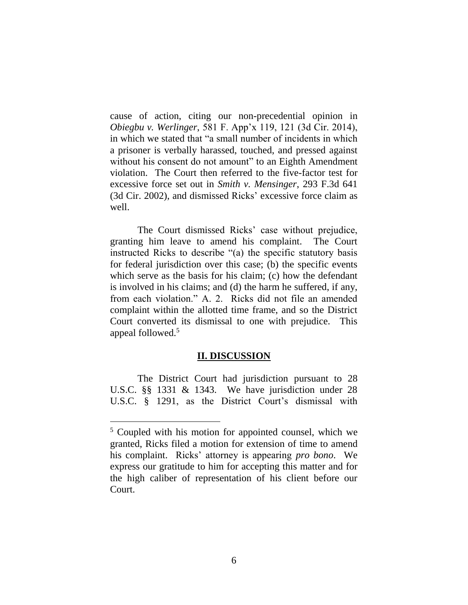cause of action, citing our non-precedential opinion in *Obiegbu v. Werlinger*, 581 F. App'x 119, 121 (3d Cir. 2014), in which we stated that "a small number of incidents in which a prisoner is verbally harassed, touched, and pressed against without his consent do not amount" to an Eighth Amendment violation. The Court then referred to the five-factor test for excessive force set out in *Smith v. Mensinger*, 293 F.3d 641 (3d Cir. 2002), and dismissed Ricks' excessive force claim as well.

The Court dismissed Ricks' case without prejudice, granting him leave to amend his complaint. The Court instructed Ricks to describe "(a) the specific statutory basis for federal jurisdiction over this case; (b) the specific events which serve as the basis for his claim; (c) how the defendant is involved in his claims; and (d) the harm he suffered, if any, from each violation." A. 2. Ricks did not file an amended complaint within the allotted time frame, and so the District Court converted its dismissal to one with prejudice. This appeal followed.<sup>5</sup>

### **II. DISCUSSION**

The District Court had jurisdiction pursuant to 28 U.S.C. §§ 1331 & 1343. We have jurisdiction under 28 U.S.C. § 1291, as the District Court's dismissal with

<sup>&</sup>lt;sup>5</sup> Coupled with his motion for appointed counsel, which we granted, Ricks filed a motion for extension of time to amend his complaint. Ricks' attorney is appearing *pro bono*. We express our gratitude to him for accepting this matter and for the high caliber of representation of his client before our Court.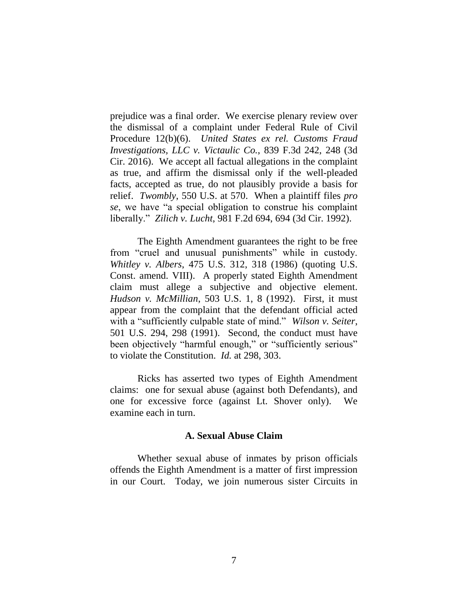prejudice was a final order. We exercise plenary review over the dismissal of a complaint under Federal Rule of Civil Procedure 12(b)(6). *United States ex rel. Customs Fraud Investigations, LLC v. Victaulic Co.*, 839 F.3d 242, 248 (3d Cir. 2016). We accept all factual allegations in the complaint as true, and affirm the dismissal only if the well-pleaded facts, accepted as true, do not plausibly provide a basis for relief. *Twombly*, 550 U.S. at 570. When a plaintiff files *pro se*, we have "a special obligation to construe his complaint liberally." *Zilich v. Lucht*, 981 F.2d 694, 694 (3d Cir. 1992).

The Eighth Amendment guarantees the right to be free from "cruel and unusual punishments" while in custody. *Whitley v. Albers*, 475 U.S. 312, 318 (1986) (quoting U.S. Const. amend. VIII). A properly stated Eighth Amendment claim must allege a subjective and objective element. *Hudson v. McMillian*, 503 U.S. 1, 8 (1992). First, it must appear from the complaint that the defendant official acted with a "sufficiently culpable state of mind." *Wilson v. Seiter*, 501 U.S. 294, 298 (1991). Second, the conduct must have been objectively "harmful enough," or "sufficiently serious" to violate the Constitution. *Id.* at 298, 303.

Ricks has asserted two types of Eighth Amendment claims: one for sexual abuse (against both Defendants), and one for excessive force (against Lt. Shover only). We examine each in turn.

#### **A. Sexual Abuse Claim**

Whether sexual abuse of inmates by prison officials offends the Eighth Amendment is a matter of first impression in our Court. Today, we join numerous sister Circuits in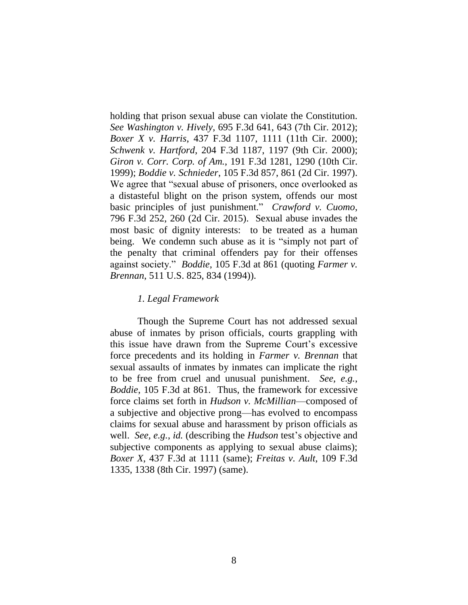holding that prison sexual abuse can violate the Constitution. *See Washington v. Hively*, 695 F.3d 641, 643 (7th Cir. 2012); *Boxer X v. Harris*, 437 F.3d 1107, 1111 (11th Cir. 2000); *Schwenk v. Hartford*, 204 F.3d 1187, 1197 (9th Cir. 2000); *Giron v. Corr. Corp. of Am.*, 191 F.3d 1281, 1290 (10th Cir. 1999); *Boddie v. Schnieder*, 105 F.3d 857, 861 (2d Cir. 1997). We agree that "sexual abuse of prisoners, once overlooked as a distasteful blight on the prison system, offends our most basic principles of just punishment." *Crawford v. Cuomo*, 796 F.3d 252, 260 (2d Cir. 2015). Sexual abuse invades the most basic of dignity interests: to be treated as a human being. We condemn such abuse as it is "simply not part of the penalty that criminal offenders pay for their offenses against society." *Boddie*, 105 F.3d at 861 (quoting *Farmer v. Brennan*, 511 U.S. 825, 834 (1994)).

### *1. Legal Framework*

Though the Supreme Court has not addressed sexual abuse of inmates by prison officials, courts grappling with this issue have drawn from the Supreme Court's excessive force precedents and its holding in *Farmer v. Brennan* that sexual assaults of inmates by inmates can implicate the right to be free from cruel and unusual punishment. *See, e.g.*, *Boddie*, 105 F.3d at 861. Thus, the framework for excessive force claims set forth in *Hudson v. McMillian*—composed of a subjective and objective prong—has evolved to encompass claims for sexual abuse and harassment by prison officials as well. *See, e.g.*, *id.* (describing the *Hudson* test's objective and subjective components as applying to sexual abuse claims); *Boxer X*, 437 F.3d at 1111 (same); *Freitas v. Ault*, 109 F.3d 1335, 1338 (8th Cir. 1997) (same).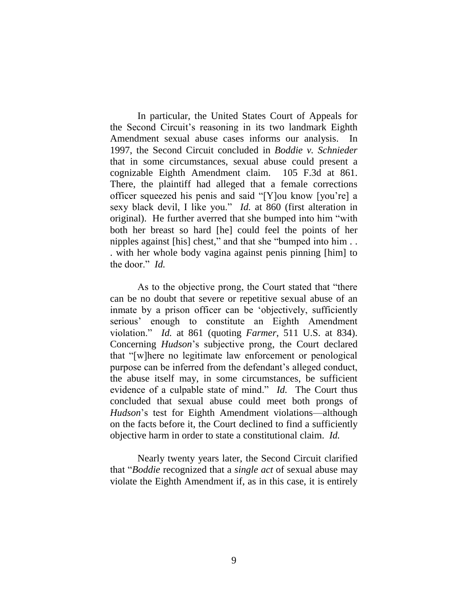In particular, the United States Court of Appeals for the Second Circuit's reasoning in its two landmark Eighth Amendment sexual abuse cases informs our analysis. In 1997, the Second Circuit concluded in *Boddie v. Schnieder*  that in some circumstances, sexual abuse could present a cognizable Eighth Amendment claim. 105 F.3d at 861. There, the plaintiff had alleged that a female corrections officer squeezed his penis and said "[Y]ou know [you're] a sexy black devil, I like you." *Id.* at 860 (first alteration in original). He further averred that she bumped into him "with both her breast so hard [he] could feel the points of her nipples against [his] chest," and that she "bumped into him . . . with her whole body vagina against penis pinning [him] to the door." *Id.*

As to the objective prong, the Court stated that "there can be no doubt that severe or repetitive sexual abuse of an inmate by a prison officer can be 'objectively, sufficiently serious' enough to constitute an Eighth Amendment violation." *Id.* at 861 (quoting *Farmer*, 511 U.S. at 834). Concerning *Hudson*'s subjective prong, the Court declared that "[w]here no legitimate law enforcement or penological purpose can be inferred from the defendant's alleged conduct, the abuse itself may, in some circumstances, be sufficient evidence of a culpable state of mind." *Id.* The Court thus concluded that sexual abuse could meet both prongs of *Hudson*'s test for Eighth Amendment violations—although on the facts before it, the Court declined to find a sufficiently objective harm in order to state a constitutional claim. *Id.*

Nearly twenty years later, the Second Circuit clarified that "*Boddie* recognized that a *single act* of sexual abuse may violate the Eighth Amendment if, as in this case, it is entirely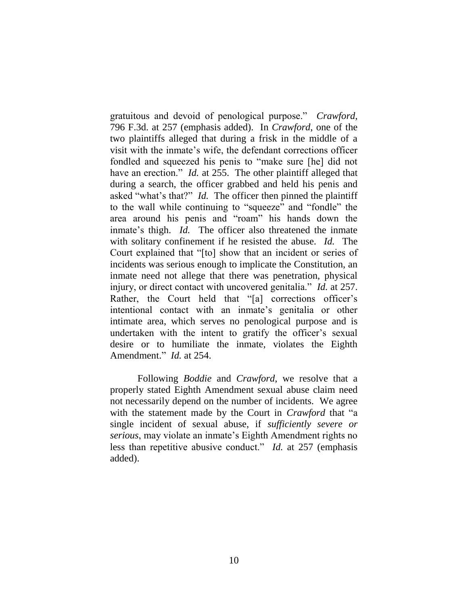gratuitous and devoid of penological purpose." *Crawford*, 796 F.3d. at 257 (emphasis added). In *Crawford*, one of the two plaintiffs alleged that during a frisk in the middle of a visit with the inmate's wife, the defendant corrections officer fondled and squeezed his penis to "make sure [he] did not have an erection." *Id.* at 255. The other plaintiff alleged that during a search, the officer grabbed and held his penis and asked "what's that?" *Id.* The officer then pinned the plaintiff to the wall while continuing to "squeeze" and "fondle" the area around his penis and "roam" his hands down the inmate's thigh. *Id.* The officer also threatened the inmate with solitary confinement if he resisted the abuse. *Id.* The Court explained that "[to] show that an incident or series of incidents was serious enough to implicate the Constitution, an inmate need not allege that there was penetration, physical injury, or direct contact with uncovered genitalia." *Id.* at 257. Rather, the Court held that "[a] corrections officer's intentional contact with an inmate's genitalia or other intimate area, which serves no penological purpose and is undertaken with the intent to gratify the officer's sexual desire or to humiliate the inmate, violates the Eighth Amendment." *Id.* at 254.

Following *Boddie* and *Crawford*, we resolve that a properly stated Eighth Amendment sexual abuse claim need not necessarily depend on the number of incidents. We agree with the statement made by the Court in *Crawford* that "a single incident of sexual abuse, if *sufficiently severe or serious*, may violate an inmate's Eighth Amendment rights no less than repetitive abusive conduct." *Id.* at 257 (emphasis added).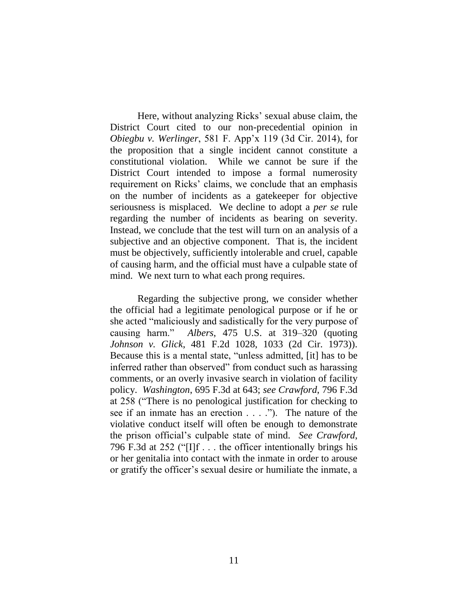Here, without analyzing Ricks' sexual abuse claim, the District Court cited to our non-precedential opinion in *Obiegbu v. Werlinger*, 581 F. App'x 119 (3d Cir. 2014), for the proposition that a single incident cannot constitute a constitutional violation. While we cannot be sure if the District Court intended to impose a formal numerosity requirement on Ricks' claims, we conclude that an emphasis on the number of incidents as a gatekeeper for objective seriousness is misplaced. We decline to adopt a *per se* rule regarding the number of incidents as bearing on severity. Instead, we conclude that the test will turn on an analysis of a subjective and an objective component. That is, the incident must be objectively, sufficiently intolerable and cruel, capable of causing harm, and the official must have a culpable state of mind. We next turn to what each prong requires.

Regarding the subjective prong, we consider whether the official had a legitimate penological purpose or if he or she acted "maliciously and sadistically for the very purpose of causing harm." *Albers*, 475 U.S. at 319–320 (quoting *Johnson v. Glick*, 481 F.2d 1028, 1033 (2d Cir. 1973)). Because this is a mental state, "unless admitted, [it] has to be inferred rather than observed" from conduct such as harassing comments, or an overly invasive search in violation of facility policy. *Washington*, 695 F.3d at 643; *see Crawford*, 796 F.3d at 258 ("There is no penological justification for checking to see if an inmate has an erection . . . ."). The nature of the violative conduct itself will often be enough to demonstrate the prison official's culpable state of mind. *See Crawford*, 796 F.3d at 252 ("[I]f . . . the officer intentionally brings his or her genitalia into contact with the inmate in order to arouse or gratify the officer's sexual desire or humiliate the inmate, a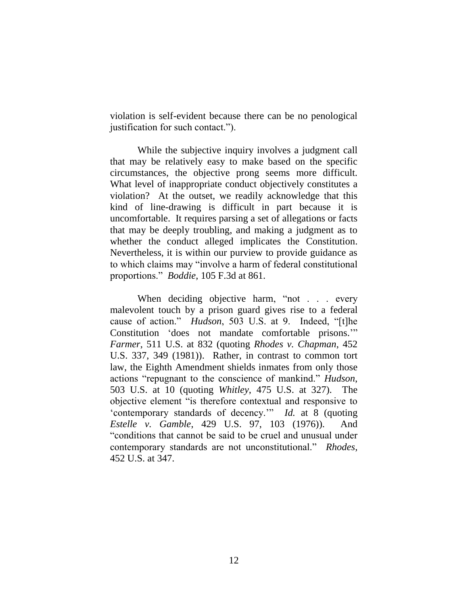violation is self-evident because there can be no penological justification for such contact.").

While the subjective inquiry involves a judgment call that may be relatively easy to make based on the specific circumstances, the objective prong seems more difficult. What level of inappropriate conduct objectively constitutes a violation? At the outset, we readily acknowledge that this kind of line-drawing is difficult in part because it is uncomfortable. It requires parsing a set of allegations or facts that may be deeply troubling, and making a judgment as to whether the conduct alleged implicates the Constitution. Nevertheless, it is within our purview to provide guidance as to which claims may "involve a harm of federal constitutional proportions." *Boddie*, 105 F.3d at 861.

When deciding objective harm, "not . . . every malevolent touch by a prison guard gives rise to a federal cause of action." *Hudson*, 503 U.S. at 9. Indeed, "[t]he Constitution 'does not mandate comfortable prisons.'" *Farmer*, 511 U.S. at 832 (quoting *Rhodes v. Chapman*, 452 U.S. 337, 349 (1981)). Rather, in contrast to common tort law, the Eighth Amendment shields inmates from only those actions "repugnant to the conscience of mankind." *Hudson*, 503 U.S. at 10 (quoting *Whitley*, 475 U.S. at 327). The objective element "is therefore contextual and responsive to 'contemporary standards of decency.'" *Id.* at 8 (quoting *Estelle v. Gamble*, 429 U.S. 97, 103 (1976)). And "conditions that cannot be said to be cruel and unusual under contemporary standards are not unconstitutional." *Rhodes*, 452 U.S. at 347.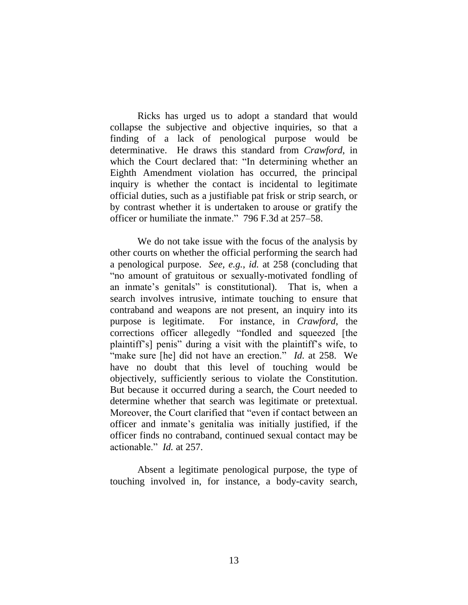Ricks has urged us to adopt a standard that would collapse the subjective and objective inquiries, so that a finding of a lack of penological purpose would be determinative. He draws this standard from *Crawford*, in which the Court declared that: "In determining whether an Eighth Amendment violation has occurred, the principal inquiry is whether the contact is incidental to legitimate official duties, such as a justifiable pat frisk or strip search, or by contrast whether it is undertaken to arouse or gratify the officer or humiliate the inmate." 796 F.3d at 257–58.

We do not take issue with the focus of the analysis by other courts on whether the official performing the search had a penological purpose. *See, e.g.*, *id.* at 258 (concluding that "no amount of gratuitous or sexually-motivated fondling of an inmate's genitals" is constitutional). That is, when a search involves intrusive, intimate touching to ensure that contraband and weapons are not present, an inquiry into its purpose is legitimate. For instance, in *Crawford*, the corrections officer allegedly "fondled and squeezed [the plaintiff's] penis" during a visit with the plaintiff's wife, to "make sure [he] did not have an erection." *Id.* at 258. We have no doubt that this level of touching would be objectively, sufficiently serious to violate the Constitution. But because it occurred during a search, the Court needed to determine whether that search was legitimate or pretextual. Moreover, the Court clarified that "even if contact between an officer and inmate's genitalia was initially justified, if the officer finds no contraband, continued sexual contact may be actionable." *Id.* at 257.

Absent a legitimate penological purpose, the type of touching involved in, for instance, a body-cavity search,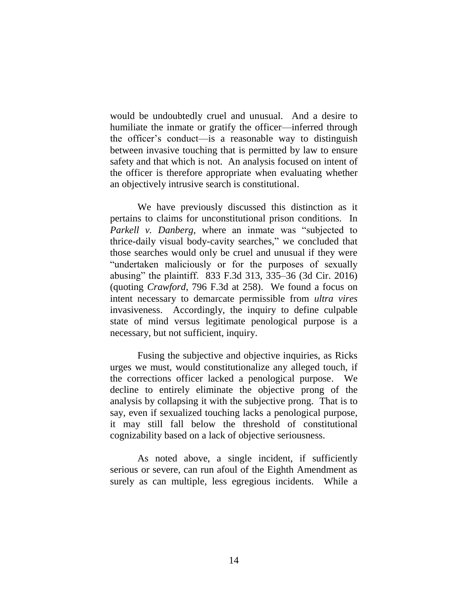would be undoubtedly cruel and unusual. And a desire to humiliate the inmate or gratify the officer—inferred through the officer's conduct—is a reasonable way to distinguish between invasive touching that is permitted by law to ensure safety and that which is not. An analysis focused on intent of the officer is therefore appropriate when evaluating whether an objectively intrusive search is constitutional.

We have previously discussed this distinction as it pertains to claims for unconstitutional prison conditions. In *Parkell v. Danberg*, where an inmate was "subjected to thrice-daily visual body-cavity searches," we concluded that those searches would only be cruel and unusual if they were "undertaken maliciously or for the purposes of sexually abusing" the plaintiff. 833 F.3d 313, 335–36 (3d Cir. 2016) (quoting *Crawford*, 796 F.3d at 258). We found a focus on intent necessary to demarcate permissible from *ultra vires* invasiveness. Accordingly, the inquiry to define culpable state of mind versus legitimate penological purpose is a necessary, but not sufficient, inquiry.

Fusing the subjective and objective inquiries, as Ricks urges we must, would constitutionalize any alleged touch, if the corrections officer lacked a penological purpose. We decline to entirely eliminate the objective prong of the analysis by collapsing it with the subjective prong. That is to say, even if sexualized touching lacks a penological purpose, it may still fall below the threshold of constitutional cognizability based on a lack of objective seriousness.

As noted above, a single incident, if sufficiently serious or severe, can run afoul of the Eighth Amendment as surely as can multiple, less egregious incidents. While a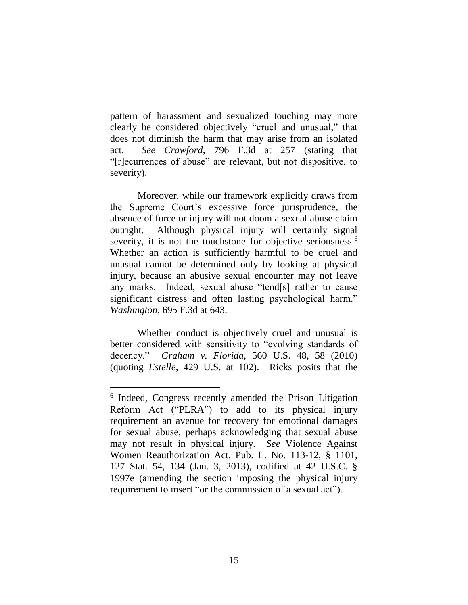pattern of harassment and sexualized touching may more clearly be considered objectively "cruel and unusual," that does not diminish the harm that may arise from an isolated act. *See Crawford*, 796 F.3d at 257 (stating that "[r]ecurrences of abuse" are relevant, but not dispositive, to severity).

Moreover, while our framework explicitly draws from the Supreme Court's excessive force jurisprudence, the absence of force or injury will not doom a sexual abuse claim outright. Although physical injury will certainly signal severity, it is not the touchstone for objective seriousness.<sup>6</sup> Whether an action is sufficiently harmful to be cruel and unusual cannot be determined only by looking at physical injury, because an abusive sexual encounter may not leave any marks. Indeed, sexual abuse "tend[s] rather to cause significant distress and often lasting psychological harm." *Washington*, 695 F.3d at 643.

Whether conduct is objectively cruel and unusual is better considered with sensitivity to "evolving standards of decency." *Graham v. Florida*, 560 U.S. 48, 58 (2010) (quoting *Estelle*, 429 U.S. at 102). Ricks posits that the

 $\overline{a}$ 

<sup>&</sup>lt;sup>6</sup> Indeed, Congress recently amended the Prison Litigation Reform Act ("PLRA") to add to its physical injury requirement an avenue for recovery for emotional damages for sexual abuse, perhaps acknowledging that sexual abuse may not result in physical injury. *See* Violence Against Women Reauthorization Act, Pub. L. No. 113-12, § 1101, 127 Stat. 54, 134 (Jan. 3, 2013), codified at 42 U.S.C. § 1997e (amending the section imposing the physical injury requirement to insert "or the commission of a sexual act").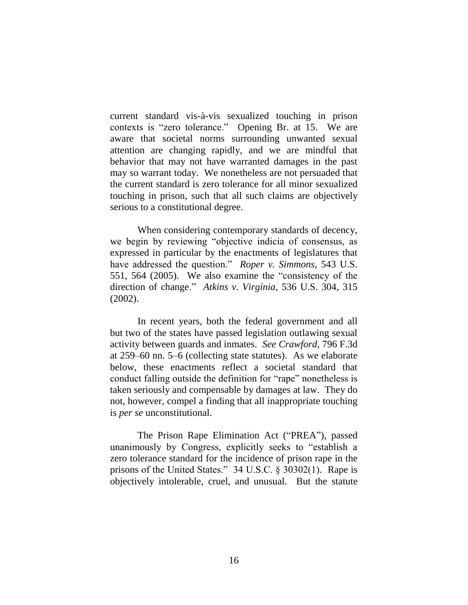current standard vis-à-vis sexualized touching in prison contexts is "zero tolerance." Opening Br. at 15. We are aware that societal norms surrounding unwanted sexual attention are changing rapidly, and we are mindful that behavior that may not have warranted damages in the past may so warrant today. We nonetheless are not persuaded that the current standard is zero tolerance for all minor sexualized touching in prison, such that all such claims are objectively serious to a constitutional degree.

When considering contemporary standards of decency, we begin by reviewing "objective indicia of consensus, as expressed in particular by the enactments of legislatures that have addressed the question." *Roper v. Simmons*, 543 U.S. 551, 564 (2005). We also examine the "consistency of the direction of change." *Atkins v. Virginia*, 536 U.S. 304, 315 (2002).

In recent years, both the federal government and all but two of the states have passed legislation outlawing sexual activity between guards and inmates. *See Crawford*, 796 F.3d at 259–60 nn. 5–6 (collecting state statutes). As we elaborate below, these enactments reflect a societal standard that conduct falling outside the definition for "rape" nonetheless is taken seriously and compensable by damages at law. They do not, however, compel a finding that all inappropriate touching is *per se* unconstitutional.

The Prison Rape Elimination Act ("PREA"), passed unanimously by Congress, explicitly seeks to "establish a zero tolerance standard for the incidence of prison rape in the prisons of the United States." 34 U.S.C. § 30302(1). Rape is objectively intolerable, cruel, and unusual. But the statute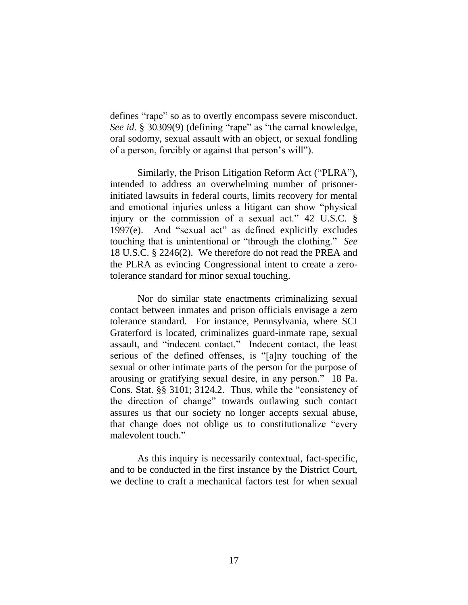defines "rape" so as to overtly encompass severe misconduct. *See id.* § 30309(9) (defining "rape" as "the carnal knowledge, oral sodomy, sexual assault with an object, or sexual fondling of a person, forcibly or against that person's will").

Similarly, the Prison Litigation Reform Act ("PLRA"), intended to address an overwhelming number of prisonerinitiated lawsuits in federal courts, limits recovery for mental and emotional injuries unless a litigant can show "physical injury or the commission of a sexual act." 42 U.S.C. § 1997(e). And "sexual act" as defined explicitly excludes touching that is unintentional or "through the clothing." *See* 18 U.S.C. § 2246(2). We therefore do not read the PREA and the PLRA as evincing Congressional intent to create a zerotolerance standard for minor sexual touching.

Nor do similar state enactments criminalizing sexual contact between inmates and prison officials envisage a zero tolerance standard. For instance, Pennsylvania, where SCI Graterford is located, criminalizes guard-inmate rape, sexual assault, and "indecent contact." Indecent contact, the least serious of the defined offenses, is "[a]ny touching of the sexual or other intimate parts of the person for the purpose of arousing or gratifying sexual desire, in any person." 18 Pa. Cons. Stat. §§ 3101; 3124.2. Thus, while the "consistency of the direction of change" towards outlawing such contact assures us that our society no longer accepts sexual abuse, that change does not oblige us to constitutionalize "every malevolent touch."

As this inquiry is necessarily contextual, fact-specific, and to be conducted in the first instance by the District Court, we decline to craft a mechanical factors test for when sexual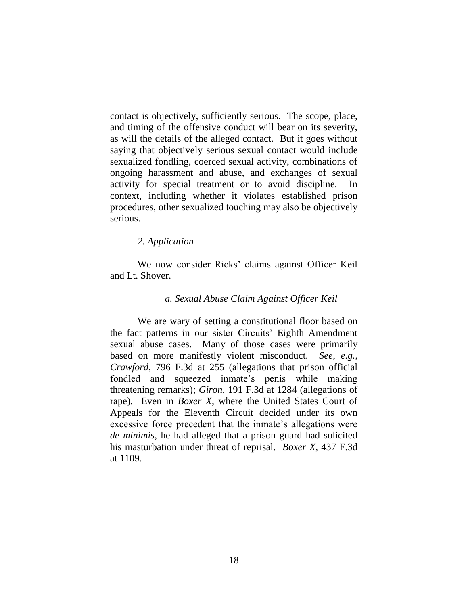contact is objectively, sufficiently serious. The scope, place, and timing of the offensive conduct will bear on its severity, as will the details of the alleged contact. But it goes without saying that objectively serious sexual contact would include sexualized fondling, coerced sexual activity, combinations of ongoing harassment and abuse, and exchanges of sexual activity for special treatment or to avoid discipline. In context, including whether it violates established prison procedures, other sexualized touching may also be objectively serious.

### *2. Application*

We now consider Ricks' claims against Officer Keil and Lt. Shover.

#### *a. Sexual Abuse Claim Against Officer Keil*

We are wary of setting a constitutional floor based on the fact patterns in our sister Circuits' Eighth Amendment sexual abuse cases. Many of those cases were primarily based on more manifestly violent misconduct. *See, e.g.*, *Crawford*, 796 F.3d at 255 (allegations that prison official fondled and squeezed inmate's penis while making threatening remarks); *Giron*, 191 F.3d at 1284 (allegations of rape). Even in *Boxer X*, where the United States Court of Appeals for the Eleventh Circuit decided under its own excessive force precedent that the inmate's allegations were *de minimis*, he had alleged that a prison guard had solicited his masturbation under threat of reprisal. *Boxer X*, 437 F.3d at 1109.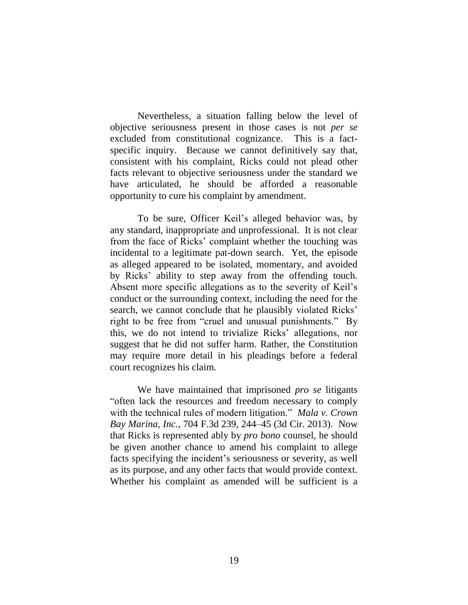Nevertheless, a situation falling below the level of objective seriousness present in those cases is not *per se*  excluded from constitutional cognizance. This is a factspecific inquiry. Because we cannot definitively say that, consistent with his complaint, Ricks could not plead other facts relevant to objective seriousness under the standard we have articulated, he should be afforded a reasonable opportunity to cure his complaint by amendment.

To be sure, Officer Keil's alleged behavior was, by any standard, inappropriate and unprofessional. It is not clear from the face of Ricks' complaint whether the touching was incidental to a legitimate pat-down search. Yet, the episode as alleged appeared to be isolated, momentary, and avoided by Ricks' ability to step away from the offending touch. Absent more specific allegations as to the severity of Keil's conduct or the surrounding context, including the need for the search, we cannot conclude that he plausibly violated Ricks' right to be free from "cruel and unusual punishments." By this, we do not intend to trivialize Ricks' allegations, nor suggest that he did not suffer harm. Rather, the Constitution may require more detail in his pleadings before a federal court recognizes his claim.

We have maintained that imprisoned *pro se* litigants "often lack the resources and freedom necessary to comply with the technical rules of modern litigation." *Mala v. Crown Bay Marina, Inc.*, 704 F.3d 239, 244–45 (3d Cir. 2013). Now that Ricks is represented ably by *pro bono* counsel, he should be given another chance to amend his complaint to allege facts specifying the incident's seriousness or severity, as well as its purpose, and any other facts that would provide context. Whether his complaint as amended will be sufficient is a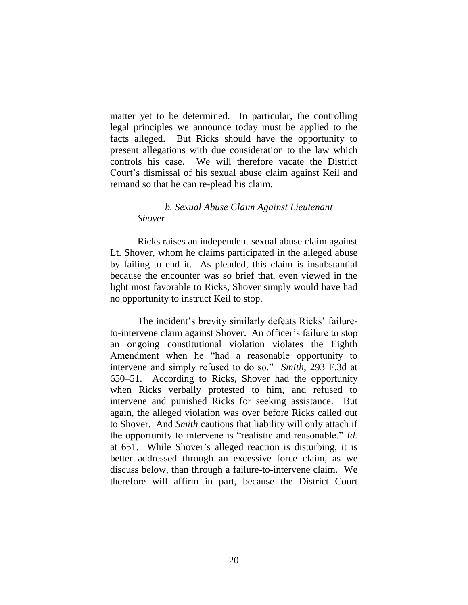matter yet to be determined. In particular, the controlling legal principles we announce today must be applied to the facts alleged. But Ricks should have the opportunity to present allegations with due consideration to the law which controls his case. We will therefore vacate the District Court's dismissal of his sexual abuse claim against Keil and remand so that he can re-plead his claim.

# *b. Sexual Abuse Claim Against Lieutenant Shover*

Ricks raises an independent sexual abuse claim against Lt. Shover, whom he claims participated in the alleged abuse by failing to end it. As pleaded, this claim is insubstantial because the encounter was so brief that, even viewed in the light most favorable to Ricks, Shover simply would have had no opportunity to instruct Keil to stop.

The incident's brevity similarly defeats Ricks' failureto-intervene claim against Shover. An officer's failure to stop an ongoing constitutional violation violates the Eighth Amendment when he "had a reasonable opportunity to intervene and simply refused to do so." *Smith*, 293 F.3d at 650–51. According to Ricks, Shover had the opportunity when Ricks verbally protested to him, and refused to intervene and punished Ricks for seeking assistance. But again, the alleged violation was over before Ricks called out to Shover. And *Smith* cautions that liability will only attach if the opportunity to intervene is "realistic and reasonable." *Id.*  at 651. While Shover's alleged reaction is disturbing, it is better addressed through an excessive force claim, as we discuss below, than through a failure-to-intervene claim. We therefore will affirm in part, because the District Court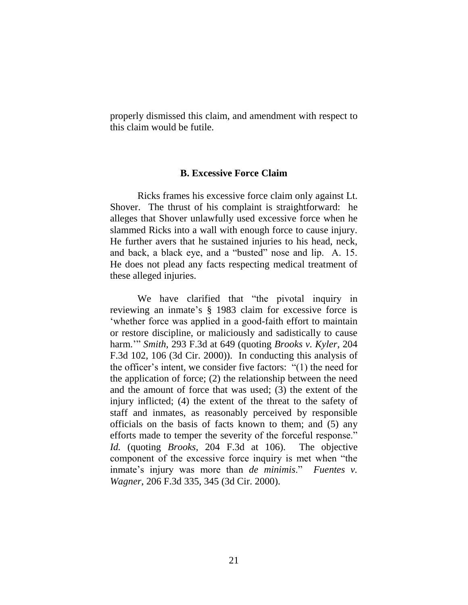properly dismissed this claim, and amendment with respect to this claim would be futile.

### **B. Excessive Force Claim**

Ricks frames his excessive force claim only against Lt. Shover. The thrust of his complaint is straightforward: he alleges that Shover unlawfully used excessive force when he slammed Ricks into a wall with enough force to cause injury. He further avers that he sustained injuries to his head, neck, and back, a black eye, and a "busted" nose and lip. A. 15. He does not plead any facts respecting medical treatment of these alleged injuries.

We have clarified that "the pivotal inquiry in reviewing an inmate's § 1983 claim for excessive force is 'whether force was applied in a good-faith effort to maintain or restore discipline, or maliciously and sadistically to cause harm.'" *Smith*, 293 F.3d at 649 (quoting *Brooks v. Kyler*, 204 F.3d 102, 106 (3d Cir. 2000)). In conducting this analysis of the officer's intent, we consider five factors: "(1) the need for the application of force; (2) the relationship between the need and the amount of force that was used; (3) the extent of the injury inflicted; (4) the extent of the threat to the safety of staff and inmates, as reasonably perceived by responsible officials on the basis of facts known to them; and (5) any efforts made to temper the severity of the forceful response." *Id.* (quoting *Brooks*, 204 F.3d at 106).The objective component of the excessive force inquiry is met when "the inmate's injury was more than *de minimis*." *Fuentes v. Wagner*, 206 F.3d 335, 345 (3d Cir. 2000).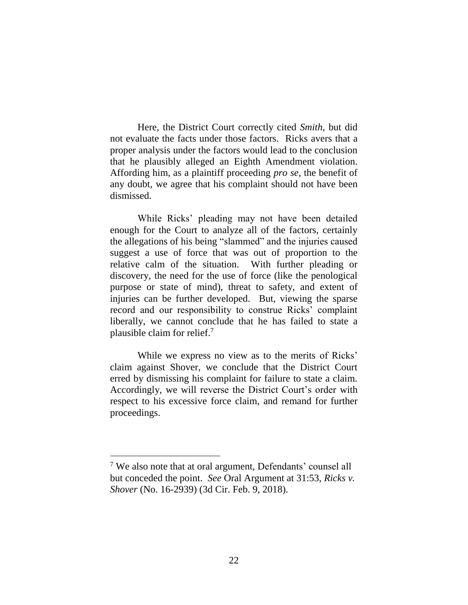Here, the District Court correctly cited *Smith*, but did not evaluate the facts under those factors. Ricks avers that a proper analysis under the factors would lead to the conclusion that he plausibly alleged an Eighth Amendment violation. Affording him, as a plaintiff proceeding *pro se*, the benefit of any doubt, we agree that his complaint should not have been dismissed.

While Ricks' pleading may not have been detailed enough for the Court to analyze all of the factors, certainly the allegations of his being "slammed" and the injuries caused suggest a use of force that was out of proportion to the relative calm of the situation. With further pleading or discovery, the need for the use of force (like the penological purpose or state of mind), threat to safety, and extent of injuries can be further developed. But, viewing the sparse record and our responsibility to construe Ricks' complaint liberally, we cannot conclude that he has failed to state a plausible claim for relief.<sup>7</sup>

While we express no view as to the merits of Ricks' claim against Shover, we conclude that the District Court erred by dismissing his complaint for failure to state a claim. Accordingly, we will reverse the District Court's order with respect to his excessive force claim, and remand for further proceedings.

 $\overline{a}$ 

<sup>7</sup> We also note that at oral argument, Defendants' counsel all but conceded the point. *See* Oral Argument at 31:53, *Ricks v. Shover* (No. 16-2939) (3d Cir. Feb. 9, 2018).